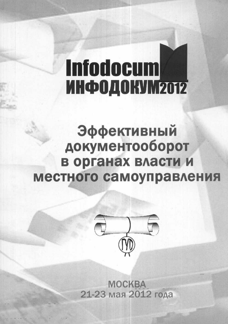# **Infodocum ИНФОДОКУМ2012**

Эффективный документооборот в органах власти и местного самоуправления



**MOCKBA** 21-23 мая 2012 года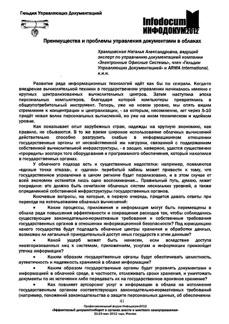

## Преимущества и проблемы управления документами в облаках

Храмцовская Наталья Александровна, ведущий эксперт по управлению документацией компании «Электронные Офисные Системы», член «Гильдии Управляющих Документацией» и ARMA International. **К.И.Н.** 

Развитие ряда информационных технологий идёт как бы по спирали. Когда-то внедрение вычислительной техники в государственном управлении начиналось именно с централизованных **ВЫЧИСЛИТЕЛЬНЫХ** КОУПНЫХ центров. Затем наступила эпоха персональных компьютеров. благодаря которой **КОМПЬЮТЕРЫ** превратились в. общеупотребительный инструмент. Теперь, уже на новом уровне, мы опять видим стремление к концентрации и централизации, - за которым, несомненно, лет через 5-10 придёт новая волна персональных вычислений, но уже на ином техническом и идейном уровне.

Как показывает опыт зарубежных стран, надежды на крупную экономию, как правило, не сбываются. В то же время широкое использование облачных вычислений Действительно способно разгрузить слабые  $\mathbf{B}$ информационном отношении государственные органы от несвойственной им нагрузки, связанной с поддержанием собственной вычислительной инфраструктуры, - а заодно, наверное, удастся существенно «проредить» зоопарк того оборудования и программного обеспечения, который накопился в государственных органах.

У облачного подхода есть и существенные недостатки: например, появляются «единые точки отказа», и «удачно» перебитый кабель может привести к тому, что государственное управление в целом регионе будет парализовано, и в этом случае от всей экономии останется лишь одно воспоминание... Правильный путь, думаю, лежит посредине: это должно быть сочетание облачных систем нескольких уровней, а также определенной собственной инфраструктуры государственных органов.

Ключевые вопросы, на которые, в первую очередь, придется давать ответы при переходе на использование облачных вычислений:

Какие процессы, приложения и информация могут быть перемещены в облака ради повышения эффективности и сокращения расходов так, чтобы соблюдались существующие законодательно-нормативные требования и собственные требования государственных органов в отношении информационной безопасности? Под юрисдикцию какого государства будут подпадать облачные центры хранения и обработки данных. возможен ли легальный принудительный доступ иных государств к этим данным?

Какой ущерб может быть нанесен, если вследствие доступа неавторизованных лиц к системам, приложениям, услугам и информации произойдет утечка информации?

Каким образом государственные органы будут обеспечивать целостность. аутентичность и надежность хранимой в облаке информации?

Каким образом государственные органы будет управлять документами и информацией в облачной среде, в частности, отслеживать сроки хранения, и уничтожать документы по их истечении либо передавать их на государственное архивное хранение?

Как повлияет аутсорсинг услуг и информации в облака на исполнение государственным органом соответствующих законодательно-нормативных требований (например, положений законодательства о защите персональных данных, об обеспечении

41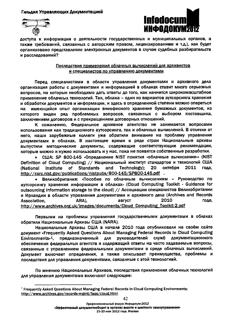Гильдия Управляющих Документацией





доступа к информации о деятельности государственных и муниципальных органов, а также требований, связанных с авторским правом, лицензированием и т.д.), как будет организовано представление электронных документов в случае судебных разбирательств и расследований?

#### Последствия применения облачных вычислений для архивистов и специалистов по управлению документами

Перед специалистами в области управления документами и архивного дела организация работы с документами и информацией в облаках ставит много серьезных вопросов, на которые необходимо дать ответы до того, как начнется широкомасштабное применение облачных технологий. Так, облака – один из вариантов аутсорсинга хранения и обработки документов и информации, и здесь в определенной степени можно опереться на имеющийся опыт организации внеофисного хранения бумажных документов, из которого виден ряд проблемных вопросов, связанных с выбором поставщика, заключением договоров и с прекращением договорных отношений.

К сожалению, Федеральное архивное агентство не занимается вопросами использования как традиционного аутсорсинга, так и облачных вычислений. В отличии от него, наши зарубежные коллеги уже обратили внимание на проблему управления документами в облаках. В настоящее время в ряде стран Национальные архивы выпустили методические документы, содержащие соответствующие рекомендации, которые можно и нужно использовать и у нас, пока не появятся собственные разработки.

• США: SP 800-145 «Определение NIST понятия «облачные вычисления»» (NIST Definition of Cloud Computing) // Национальный институт стандартов и технологий США (National Institute of **Standards** and Technology): 20 октября 2011 года. http://csrc.nist.gov/publications/nistpubs/800-145/SP800-145.pdf.

• Великобритания: «Пособие по облачным вычислениям - Руководство по аутсорсингу хранения информации в облаках» (Cloud Computing Toolkit - Guidance for outsourcing information storage to the cloud) // Ассоциации специалистов Великобритании и Ирландии в области управления документами и архивного дела (Archives and Records 2010 август года, Association. ARA), http://www.archives.org.uk/images/documents/Cloud\_Computing\_Toolkit-2.pdf

Первыми на проблемы управления государственными документами в облаках обратили Национальные Архивы США (NARA).

Национальные Архивы США в начале 2010 года опубликовали на своём сайте AOKYMEHT «Frequently Asked Questions About Managing Federal Records In Cloud Computing Environments»<sup>1</sup>. предназначенный для рүководителей служб документационного обеспечения федеральных агентств и содержащий ответы на часто задаваемые вопросы, связанные с управлением федеральными документами в среде облачных вычислений. Документ включает определения, а также описывает преимущества, проблемы и последствия для управления документами, связанные с этой технологией.

По мнению Национальных Архивов, последствия применения облачных технологий для управления документами включают следующее:

Профессиональный форум Инфодокум-2012 «Эффективный документооборот в органах власти и местного самоуправления» 21-23 мая 2012 года, Москва

<sup>&</sup>lt;sup>3</sup> Frequently Asked Ouestions About Managing Federal Records in Cloud Computing Environments; http://www.archives.gov/records-mgmt/faqs/cloud.html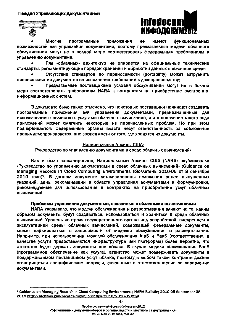

Многие программные Приложения не имеют **ФУНКЦИОНАЛЬНЫХ** возможностей для управления документами, поэтому предлагаемые модели облачного обслуживания могут не в полной мере соответствовать федеральным требованиям к управлению документами;

Ряд «облачных» архитектур не опирается на официальные технические стандарты, регламентирующие порядок хранения и обработки данных в облачной среде;

Отсутствие стандартов по переносимости (portability) может затруднить процесс изъятия документов во исполнение требований к делопроизводству:

Предлагаемые поставшиками условия обслуживания могут не в полной мере соответствовать требованиям NARA к контрактам на приобретение электронноинформационных систем.

В документе было также отмечено, что некоторые поставщики начинают создавать программные приложения для управления документами. предназначенные для использования совместно с услугами облачных вычислений, и что появление такого рода приложений может смягчить некоторые из перечисленных проблем. Но при этом подчёркивается: федеральные органы власти несут ответственность за соблюдение правил делопроизводства, вне зависимости от того, где хранятся их документы.

## Национальные Архивы США:

### Руководство по управлению документами в среде облачных вычислений»

Как и было запланировано, Национальные Архивы США (NARA) опубликовали «Руководство по управлению документами в среде облачных вычислений» (Guidance оп Managing Records in Cloud Computing Environments (бюметень 2010-05 от 8 сентября 2010 года)<sup>2</sup>. В данном документе детализированы положения ранее выпущенных указаний, даны рекомендации в области управления документами и формулировки. рекомендуемые для использования в контрактах на приобретение услуг облачных вычислений.

#### Проблемы управления документами, связанные с облачными вычислениями

NARA указывало, что модели обслуживания и развертывания влияют на то, каким образом документы будут создаваться, использоваться и храниться в среде облачных вычислений. Уровень контроля государственного органа над разработкой, внедрением и эксплуатацией среды облачных вычислений, содержащей федеральные документы, может варьироваться в зависимости от моделей обслуживания и развертывания. Например, при использовании моделей обслуживания laaS и PaaS (соответственно, в качестве услуги предоставляются инфраструктура или платформа) более вероятно, что агентство будет держать документы вне облака. В случае модели обслуживания SaaS (программное обеспечение как услуга), агентство может поддерживать документы в поддерживаемом поставщиком услуг облаке, поэтому в любом таком контракте должен оговариваться специфические вопросы, связанные с ответственностью за управление документами.

43

Профессиональный форум Инфодокум-2012

«Эффективный документооборот в органах власти и местного самоуправления»

21-23 мая 2012 года, Москва

<sup>&</sup>lt;sup>2</sup> Guldance on Managing Records in Cloud Computing Environments; NARA Bulletin; 2010-05 September 08, 2010 http://archives.gov/records-mgmt/bulletins/2010/2010-05.html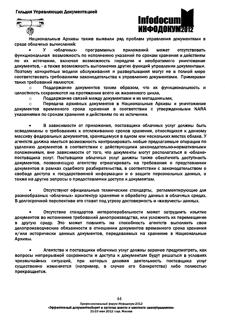Гильдия Управляющих Документацией



Национальные Архивы также выявили ряд проблем управления документами в среде облачных вычислений:

**y** «облачных» программных приложений может отсутствовать функциональная возможность по исполнению указаний по срокам хранения и действиям по их истечении, включая возможность передачи и необратимого уничтожения документов, - а также возможность выполнения других функций управления документами. Поэтому конкретные модели обслуживания и развертывания могут не в полной мере соответствовать требованиям законодательства к управлению документами. Примерами таких требований являются:

Поддержание документов таким образом, что их функциональность и  $\alpha$ целостность сохраняются на протяжении всего их жизненного цикла.

Поддержание связей между документами и их метаданными,  $\circ$ 

Передача архивных документов в Национальные Архивы и уничтожение  $\circ$ временного срока хранения в соответствии с утвержденными NARA **ДОКУМЕНТОВ** указаниями по срокам хранения и действиям по их истечении.

В зависимости от приложения, поставщики облачных услуг должны быть осведомлены о требованиях к отслеживанию сроков хранения, относящихся к данному массиву федеральных документов, хранящемуся в одном или нескольких местах облака. У агентств должна иметься возможность контролировать любые предлагаемые операции по удалению документов в соответствии с действующими законодательно-нормативными положениями, вне зависимости от того, что документы могут располагаться в «облаке» поставщика услуг. Поставщики облачных услуг должны также обеспечить доступность документов, позволяющую агентству отреагировать на требования о представлении документов в рамках судебного разбирательства, в соответствии с законодательством о свободе доступа к государственной информации и о защите персональных данных, а также на другие запросы о предоставлении доступа к документам.

Отсутствуют официальные технические стандарты, регламентирующие для разнообразных «облачных» архитектур хранение и обработку данных в облачных средах. В долгосрочной перспективе это ставит под угрозу достоверность и «живучесть» данных,

Отсутствие стандартов интероперабельности может затруднить изъятие документов во исполнение требований делопроизводства, или усложнить их перемещение в другую среду. Это может повлиять на способность агентств выполнить свои делопроизводческие обязанности в отношении документов временного срока хранения и/или исторически ценных документов, передаваемых на хранение в Национальные Архивы.

Агентства и поставщики облачных услуг должны заранее предусмотреть, как вопросы непрерывной сохранности и доступа к документам будут решаться в условиях чрезвычайных ситуаций, при которых деловая деятельность поставщика услуг существенно изменяется (например, в случае его банкротства) либо полностью прекращается.